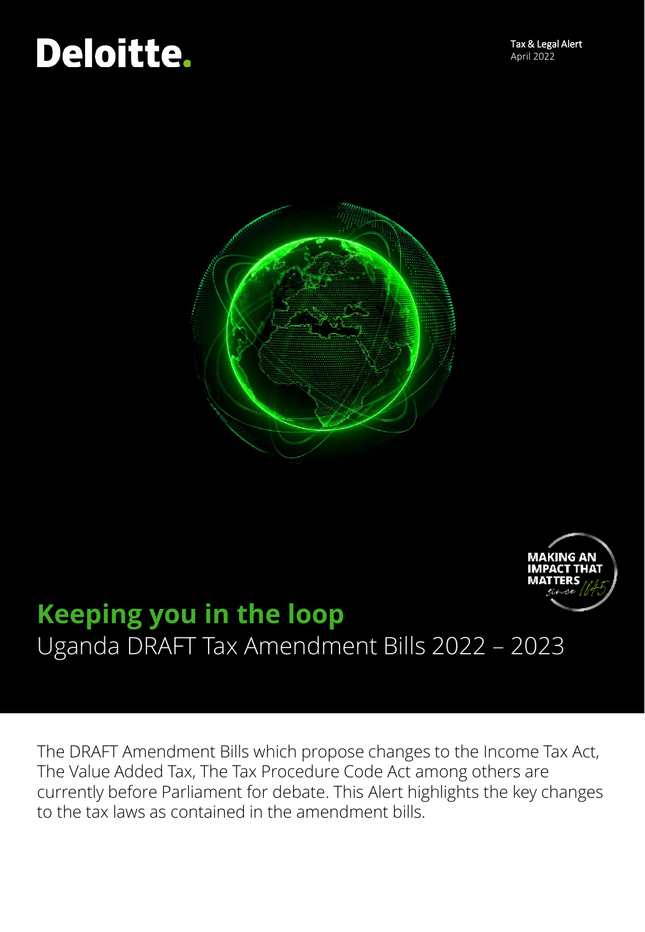



# **Keeping you in the loop** Uganda DRAFT Tax Amendment Bills 2022 – 2023

The DRAFT Amendment Bills which propose changes to the Income Tax Act, The Value Added Tax, The Tax Procedure Code Act among others are currently before Parliament for debate. This Alert highlights the key changes to the tax laws as contained in the amendment bills.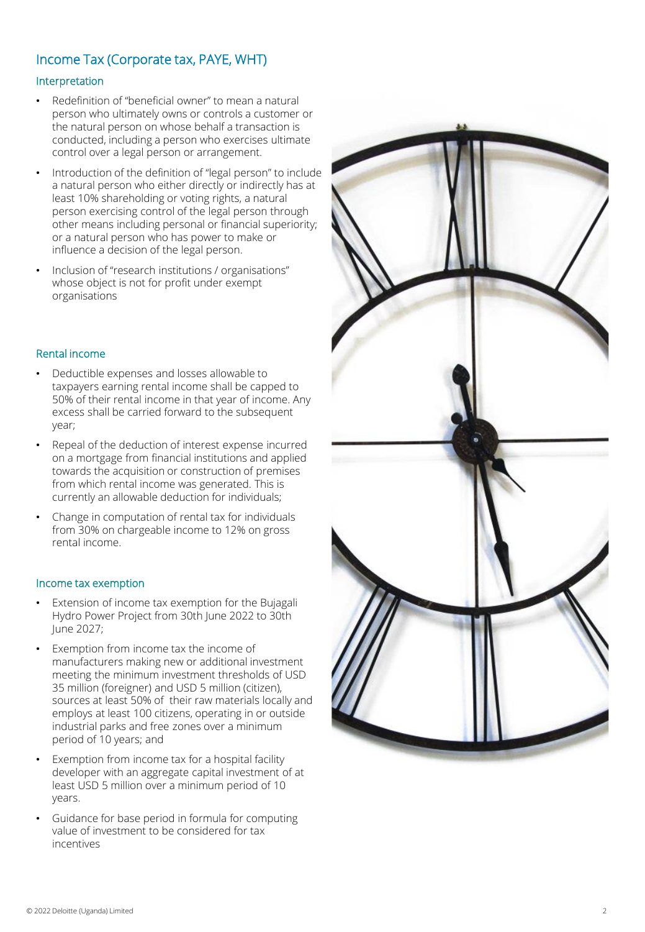## Income Tax (Corporate tax, PAYE, WHT)

#### Interpretation

- Redefinition of "beneficial owner" to mean a natural person who ultimately owns or controls a customer or the natural person on whose behalf a transaction is conducted, including a person who exercises ultimate control over a legal person or arrangement.
- Introduction of the definition of "legal person" to include a natural person who either directly or indirectly has at least 10% shareholding or voting rights, a natural person exercising control of the legal person through other means including personal or financial superiority; or a natural person who has power to make or influence a decision of the legal person.
- Inclusion of "research institutions / organisations" whose object is not for profit under exempt organisations

#### Rental income

- Deductible expenses and losses allowable to taxpayers earning rental income shall be capped to 50% of their rental income in that year of income. Any excess shall be carried forward to the subsequent year;
- Repeal of the deduction of interest expense incurred on a mortgage from financial institutions and applied towards the acquisition or construction of premises from which rental income was generated. This is currently an allowable deduction for individuals;
- Change in computation of rental tax for individuals from 30% on chargeable income to 12% on gross rental income.

#### Income tax exemption

- Extension of income tax exemption for the Bujagali Hydro Power Project from 30th June 2022 to 30th June 2027;
- Exemption from income tax the income of manufacturers making new or additional investment meeting the minimum investment thresholds of USD 35 million (foreigner) and USD 5 million (citizen), sources at least 50% of their raw materials locally and employs at least 100 citizens, operating in or outside industrial parks and free zones over a minimum period of 10 years; and
- Exemption from income tax for a hospital facility developer with an aggregate capital investment of at least USD 5 million over a minimum period of 10 years.
- Guidance for base period in formula for computing value of investment to be considered for tax incentives

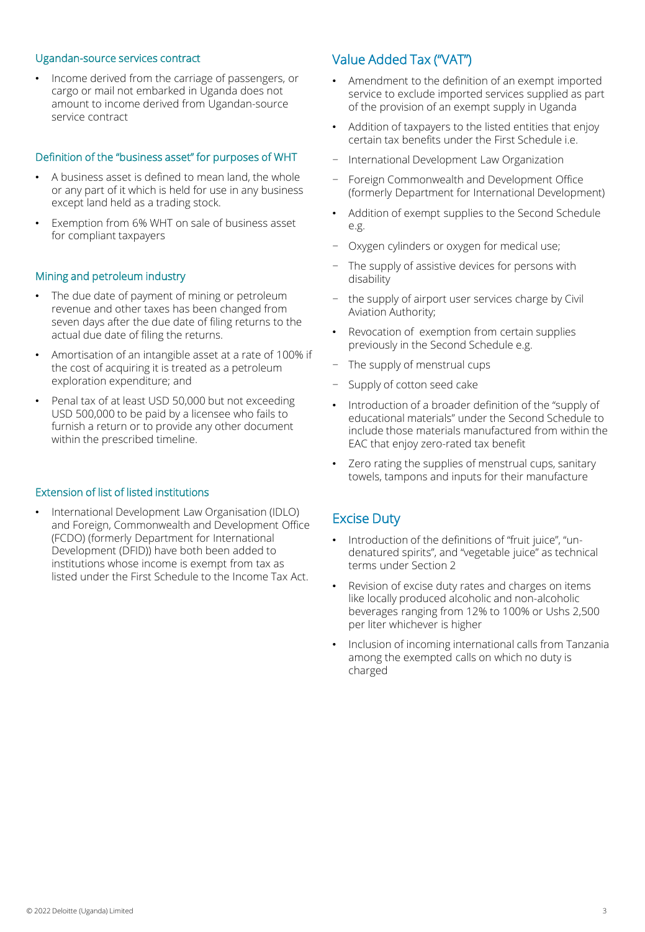#### Ugandan-source services contract

• Income derived from the carriage of passengers, or cargo or mail not embarked in Uganda does not amount to income derived from Ugandan-source service contract

#### Definition of the "business asset" for purposes of WHT

- A business asset is defined to mean land, the whole or any part of it which is held for use in any business except land held as a trading stock.
- Exemption from 6% WHT on sale of business asset for compliant taxpayers

#### Mining and petroleum industry

- The due date of payment of mining or petroleum revenue and other taxes has been changed from seven days after the due date of filing returns to the actual due date of filing the returns.
- Amortisation of an intangible asset at a rate of 100% if the cost of acquiring it is treated as a petroleum exploration expenditure; and
- Penal tax of at least USD 50,000 but not exceeding USD 500,000 to be paid by a licensee who fails to furnish a return or to provide any other document within the prescribed timeline.

#### Extension of list of listed institutions

• International Development Law Organisation (IDLO) and Foreign, Commonwealth and Development Office (FCDO) (formerly Department for International Development (DFID)) have both been added to institutions whose income is exempt from tax as listed under the First Schedule to the Income Tax Act.

## Value Added Tax ("VAT")

- Amendment to the definition of an exempt imported service to exclude imported services supplied as part of the provision of an exempt supply in Uganda
- Addition of taxpayers to the listed entities that enjoy certain tax benefits under the First Schedule i.e.
- − International Development Law Organization
- − Foreign Commonwealth and Development Office (formerly Department for International Development)
- Addition of exempt supplies to the Second Schedule e.g.
- − Oxygen cylinders or oxygen for medical use;
- The supply of assistive devices for persons with disability
- the supply of airport user services charge by Civil Aviation Authority;
- Revocation of exemption from certain supplies previously in the Second Schedule e.g.
- The supply of menstrual cups
- Supply of cotton seed cake
- Introduction of a broader definition of the "supply of educational materials" under the Second Schedule to include those materials manufactured from within the EAC that enjoy zero-rated tax benefit
- Zero rating the supplies of menstrual cups, sanitary towels, tampons and inputs for their manufacture

## Excise Duty

- Introduction of the definitions of "fruit juice", "undenatured spirits", and "vegetable juice" as technical terms under Section 2
- Revision of excise duty rates and charges on items like locally produced alcoholic and non-alcoholic beverages ranging from 12% to 100% or Ushs 2,500 per liter whichever is higher
- Inclusion of incoming international calls from Tanzania among the exempted calls on which no duty is charged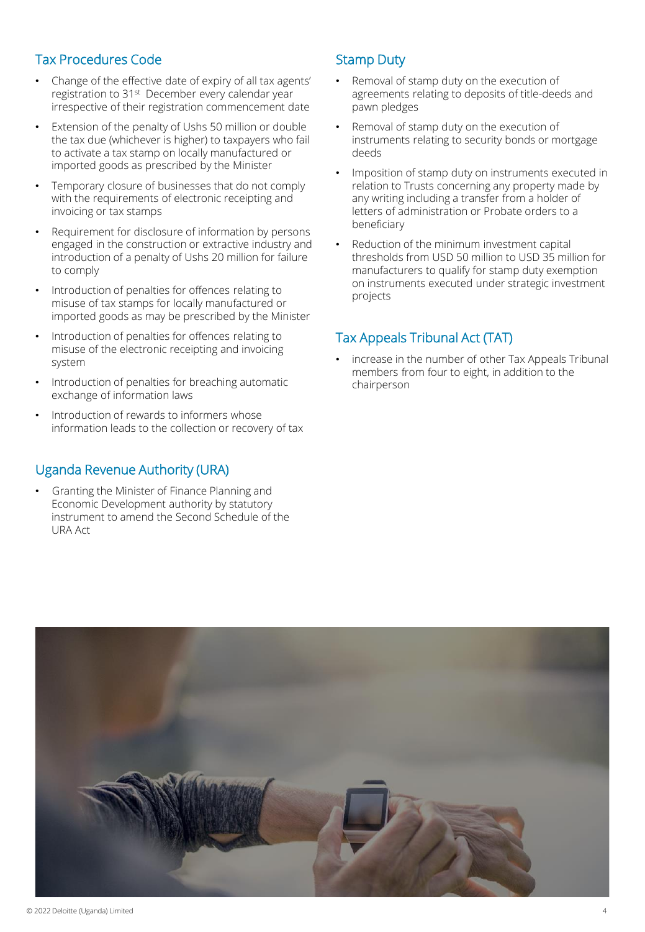## Tax Procedures Code

- Change of the effective date of expiry of all tax agents' registration to 31st December every calendar year irrespective of their registration commencement date
- Extension of the penalty of Ushs 50 million or double the tax due (whichever is higher) to taxpayers who fail to activate a tax stamp on locally manufactured or imported goods as prescribed by the Minister
- Temporary closure of businesses that do not comply with the requirements of electronic receipting and invoicing or tax stamps
- Requirement for disclosure of information by persons engaged in the construction or extractive industry and introduction of a penalty of Ushs 20 million for failure to comply
- Introduction of penalties for offences relating to misuse of tax stamps for locally manufactured or imported goods as may be prescribed by the Minister
- Introduction of penalties for offences relating to misuse of the electronic receipting and invoicing system
- Introduction of penalties for breaching automatic exchange of information laws
- Introduction of rewards to informers whose information leads to the collection or recovery of tax

### Uganda Revenue Authority (URA)

• Granting the Minister of Finance Planning and Economic Development authority by statutory instrument to amend the Second Schedule of the URA Act

## Stamp Duty

- Removal of stamp duty on the execution of agreements relating to deposits of title-deeds and pawn pledges
- Removal of stamp duty on the execution of instruments relating to security bonds or mortgage deeds
- Imposition of stamp duty on instruments executed in relation to Trusts concerning any property made by any writing including a transfer from a holder of letters of administration or Probate orders to a beneficiary
- Reduction of the minimum investment capital thresholds from USD 50 million to USD 35 million for manufacturers to qualify for stamp duty exemption on instruments executed under strategic investment projects

## Tax Appeals Tribunal Act (TAT)

increase in the number of other Tax Appeals Tribunal members from four to eight, in addition to the chairperson